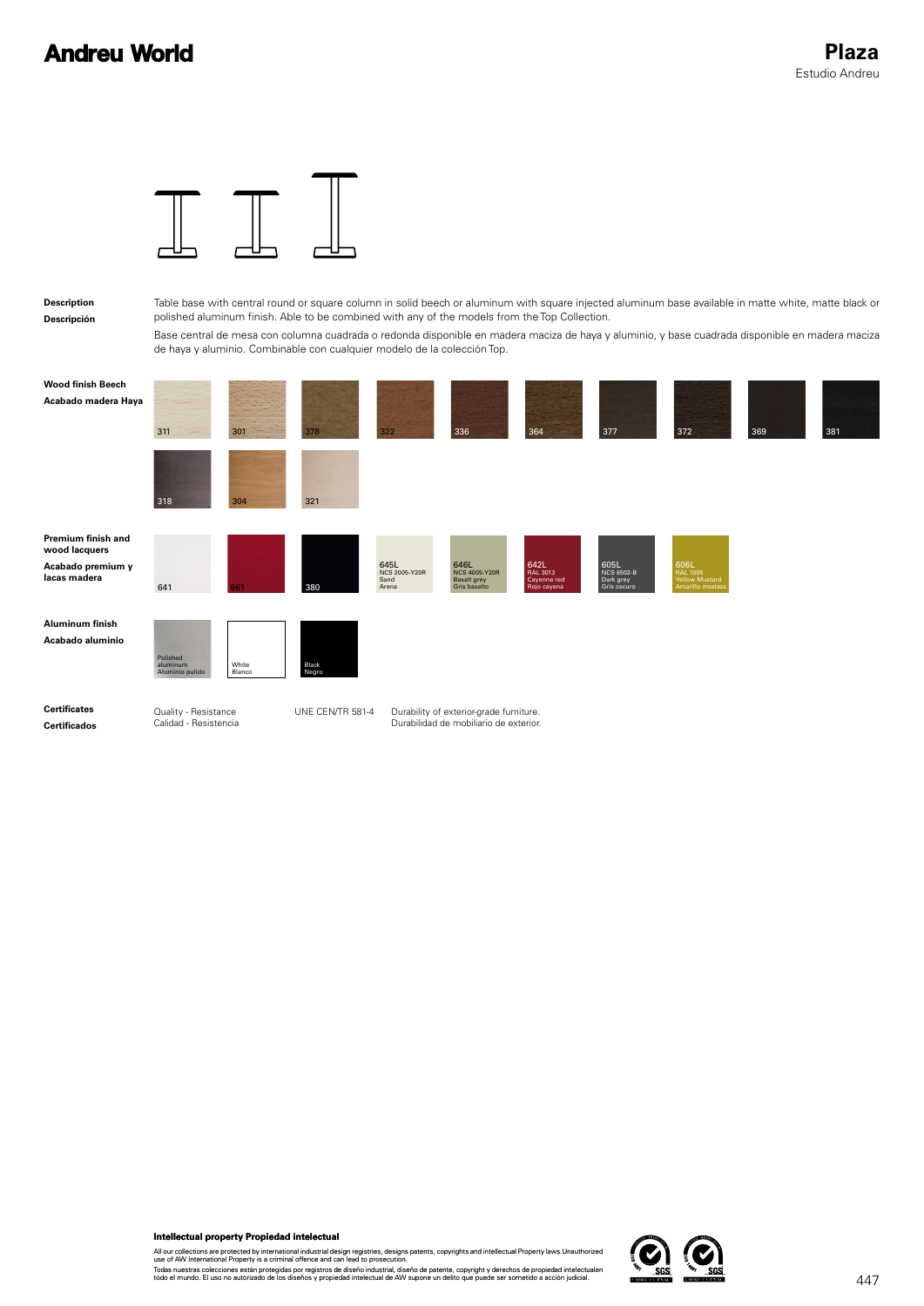

Table base with central round or square column in solid beech or aluminum with square injected aluminum base available in matte white, matte black or polished aluminum finish. Able to be combined with any of the models from the Top Collection.

| Description<br>Descripción                                               |                                               |                 | Table base with central round or square column in solid beech or aluminum with square injected aluminum base available in matte white, matte black or<br>polished aluminum finish. Able to be combined with any of the models from the Top Collection. |                                        |                                                                                   |                                                |                                                |                                                       |     |                   |
|--------------------------------------------------------------------------|-----------------------------------------------|-----------------|--------------------------------------------------------------------------------------------------------------------------------------------------------------------------------------------------------------------------------------------------------|----------------------------------------|-----------------------------------------------------------------------------------|------------------------------------------------|------------------------------------------------|-------------------------------------------------------|-----|-------------------|
|                                                                          |                                               |                 | Base central de mesa con columna cuadrada o redonda disponible en madera maciza de haya y aluminio, y base cuadrada disponible en madera maciza<br>de haya y aluminio. Combinable con cualquier modelo de la colección Top.                            |                                        |                                                                                   |                                                |                                                |                                                       |     |                   |
| <b>Wood finish Beech</b><br>Acabado madera Haya                          | 311                                           | 301             | 378                                                                                                                                                                                                                                                    | 322                                    | 336                                                                               | 364                                            | 377                                            | 372                                                   | 369 | 381               |
|                                                                          | 318                                           | 304             | 321                                                                                                                                                                                                                                                    |                                        |                                                                                   |                                                |                                                |                                                       |     |                   |
| Premium finish and<br>wood lacquers<br>Acabado premium y<br>lacas madera | 641                                           |                 | 380                                                                                                                                                                                                                                                    | 645L<br>NCS 2005-Y20R<br>Sand<br>Arena | 646L<br>NCS 4005-Y20R<br>Basalt grey<br>Gris basalto                              | 642L<br>RAL 3013<br>Cayenne red<br>Rojo cayena | 605L<br>NCS 6502-B<br>Dark grey<br>Gris oscuro | 606L<br>RAL 1005<br>Yellow Mustard<br>Amarillo mostaz |     |                   |
| <b>Aluminum finish</b><br>Acabado aluminio                               | Polished<br>aluminum<br>Aluminio pulido       | White<br>Blanco | Black<br>Negro                                                                                                                                                                                                                                         |                                        |                                                                                   |                                                |                                                |                                                       |     |                   |
| <b>Certificates</b><br><b>Certificados</b>                               | Quality - Resistance<br>Calidad - Resistencia |                 | UNE CEN/TR 581-4                                                                                                                                                                                                                                       |                                        | Durability of exterior-grade furniture.<br>Durabilidad de mobiliario de exterior. |                                                |                                                |                                                       |     |                   |
|                                                                          |                                               |                 |                                                                                                                                                                                                                                                        |                                        |                                                                                   |                                                |                                                |                                                       |     |                   |
|                                                                          | Intellectual property Propiedad intelectual   |                 | All our collections are protected by international industrial design registries, designs patents, copyrights and intellectual Property laws. Unauthorized<br>use of AW International Property is a criminal offence and can lead to prosecution.       |                                        |                                                                                   |                                                |                                                |                                                       |     |                   |
|                                                                          |                                               |                 | Todas nuestras colecciones están protegidas por registros de diseño industrial, diseño de patente, copyright y derechos de propiedad intelectualen<br>todo el mundo. El uso no autorizado de los diseños y propiedad intelectual                       |                                        |                                                                                   |                                                | SGS<br>ACREDITADORER ENAC                      | scs                                                   |     | $\Lambda \Lambda$ |

Todas nuestras colecciones están protegidas por registros de diseño industrial, diseño de patente, copyright y derechos de propiedad intelectualen<br>todo el mundo. El uso no autorizado de los diseños y propiedad intelectual

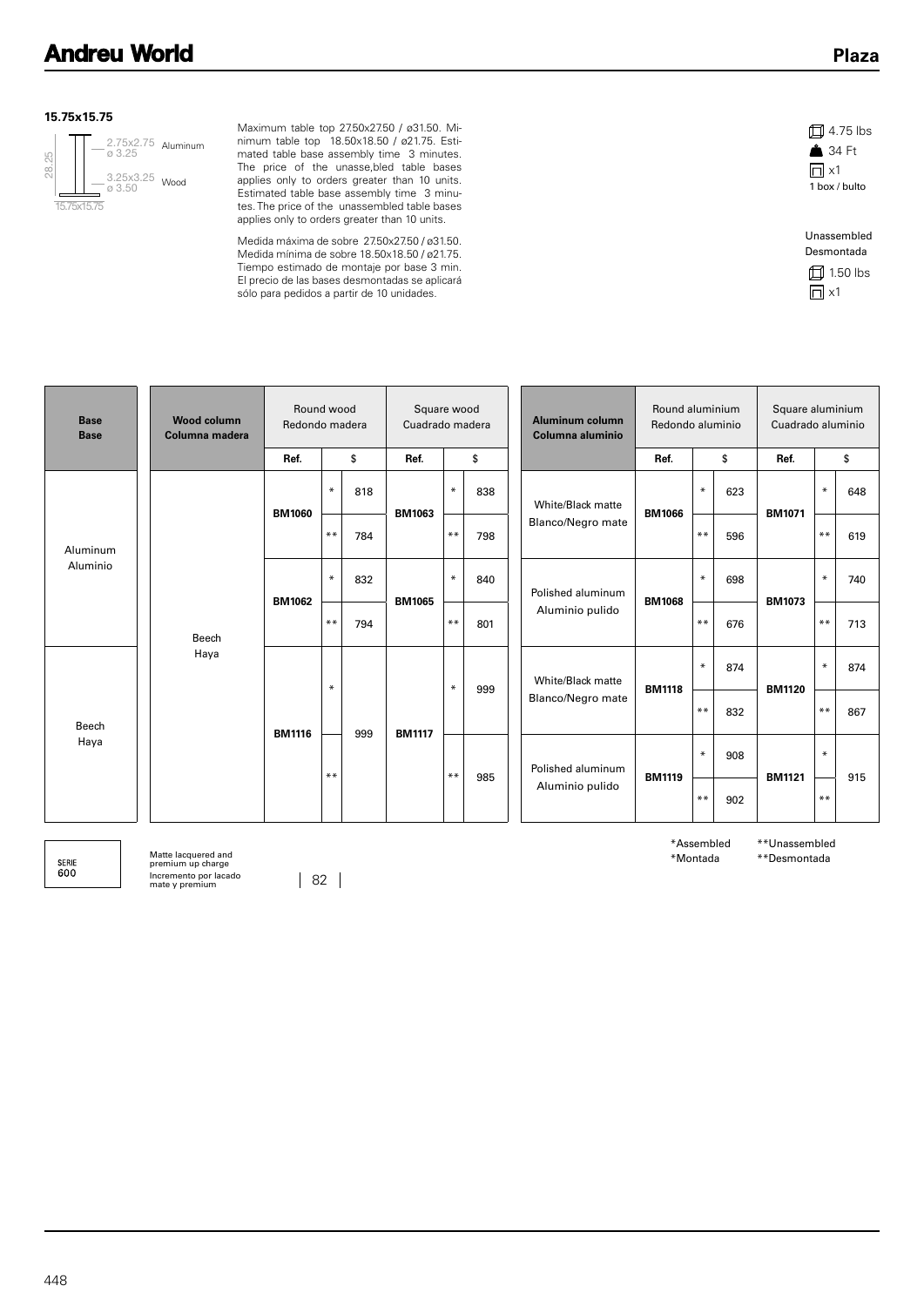#### **15.75x15.75**



Maximum table top 27.50x27.50 / ø31.50. Minimum table top 18.50x18.50 / ø21.75. Estimated table base assembly time 3 minutes. The price of the unasse,bled table bases applies only to orders greater than 10 units. Estimated table base assembly time 3 minutes. The price of the unassembled table bases applies only to orders greater than 10 units.

Medida máxima de sobre 27.50x27.50 / ø31.50. Medida mínima de sobre 18.50x18.50 / ø21.75. Tiempo estimado de montaje por base 3 min. El precio de las bases desmontadas se aplicará sólo para pedidos a partir de 10 unidades.





| <b>Base</b><br><b>Base</b> | <b>Wood column</b><br>Columna madera | Round wood<br>Redondo madera |                                |     | Square wood<br>Cuadrado madera |                                                  | Aluminum column<br>Columna aluminio | Round aluminium<br>Redondo aluminio |                   |               | Square aluminium<br>Cuadrado aluminio |               |               |        |     |
|----------------------------|--------------------------------------|------------------------------|--------------------------------|-----|--------------------------------|--------------------------------------------------|-------------------------------------|-------------------------------------|-------------------|---------------|---------------------------------------|---------------|---------------|--------|-----|
|                            |                                      | Ref.                         |                                | \$  | Ref.                           |                                                  | \$                                  |                                     |                   | Ref.          | \$                                    |               | Ref.          | \$     |     |
|                            |                                      | <b>BM1060</b>                | $\ast$<br>818<br><b>BM1063</b> |     | $\ast$                         | 838                                              |                                     | White/Black matte                   | <b>BM1066</b>     | $\ast$        | 623                                   | <b>BM1071</b> | $\ast$        | 648    |     |
| Aluminum                   |                                      |                              | $***$                          | 784 |                                | $***$                                            | 798                                 |                                     | Blanco/Negro mate |               | $**$                                  | 596           |               | $**$   | 619 |
| Aluminio                   | Beech                                | <b>BM1062</b>                | $*$                            | 832 | <b>BM1065</b>                  | $\ast$                                           | 840                                 |                                     | Polished aluminum | <b>BM1068</b> | $\ast$                                | 698           | <b>BM1073</b> | $\ast$ | 740 |
|                            |                                      |                              | $***$                          | 794 |                                | $***$                                            | 801                                 |                                     | Aluminio pulido   |               | $***$                                 | 676           |               | $**$   | 713 |
|                            | Haya                                 | <b>BM1116</b>                | $\ast$                         |     |                                | $\ast$                                           | 999                                 |                                     | White/Black matte | <b>BM1118</b> | $\ast$                                | 874           | <b>BM1120</b> | $\ast$ | 874 |
| Beech<br>Haya              |                                      |                              |                                | 999 | <b>BM1117</b>                  |                                                  |                                     |                                     | Blanco/Negro mate |               | $***$                                 | 832           |               | $* *$  | 867 |
|                            |                                      |                              | $***$                          |     |                                | $***$                                            |                                     |                                     | Polished aluminum |               | $\ast$                                | 908           | <b>BM1121</b> | $\ast$ |     |
|                            |                                      |                              |                                |     |                                | 985<br><b>BM1119</b><br>Aluminio pulido<br>$***$ | 902                                 |                                     | $* *$             | 915           |                                       |               |               |        |     |

SERIE<br>600

Matte lacquered and premium up charge Incremento por lacado mate y premium 82

\*Assembled \*Montada

\*\*Unassembled \*\*Desmontada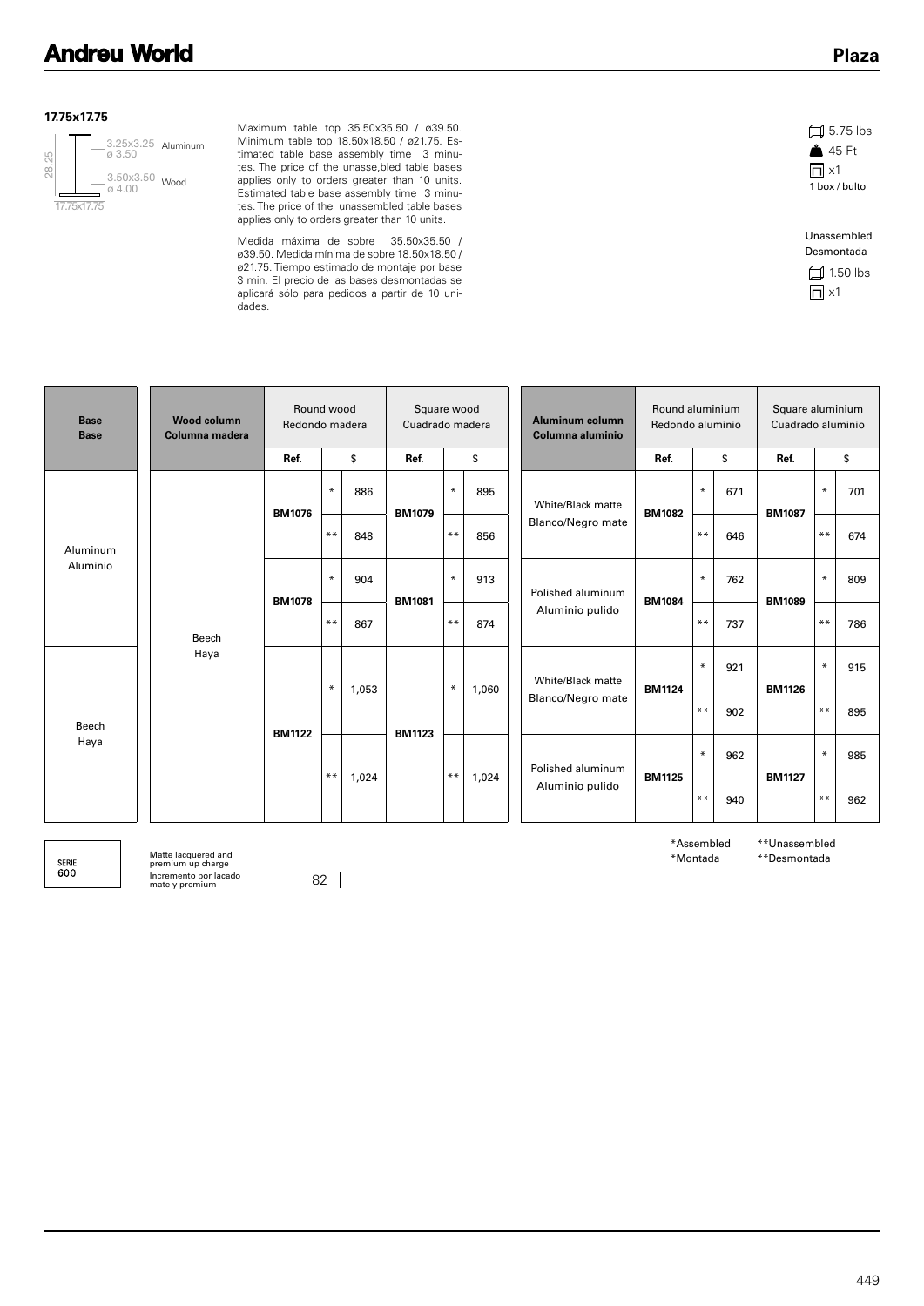#### **17.75x17.75**



Maximum table top 35.50x35.50 / ø39.50. Minimum table top 18.50x18.50 / ø21.75. Estimated table base assembly time 3 minutes. The price of the unasse,bled table bases applies only to orders greater than 10 units. Estimated table base assembly time 3 minutes. The price of the unassembled table bases applies only to orders greater than 10 units.

Medida máxima de sobre 35.50x35.50 / ø39.50. Medida mínima de sobre 18.50x18.50 / ø21.75. Tiempo estimado de montaje por base 3 min. El precio de las bases desmontadas se aplicará sólo para pedidos a partir de 10 unidades.

| $\Box$ 5.75 lbs |
|-----------------|
| <b>A</b> 45 Ft  |
| $\Box$ x1       |
| 1 box / bulto   |
|                 |
| Unassembled     |
|                 |
| Desmontada      |



| <b>Base</b><br><b>Base</b> | <b>Wood column</b><br>Columna madera | Round wood<br>Redondo madera |        |       | Square wood<br>Cuadrado madera |        |       |                   | <b>Aluminum column</b><br>Columna aluminio | Round aluminium<br>Redondo aluminio |        |     | Square aluminium<br>Cuadrado aluminio |        |     |  |
|----------------------------|--------------------------------------|------------------------------|--------|-------|--------------------------------|--------|-------|-------------------|--------------------------------------------|-------------------------------------|--------|-----|---------------------------------------|--------|-----|--|
|                            |                                      | Ref.                         |        | \$    | Ref.                           |        | \$    |                   |                                            | Ref.                                |        | \$  | Ref.                                  |        | \$  |  |
|                            |                                      | <b>BM1076</b>                | $\ast$ | 886   | <b>BM1079</b>                  | $\ast$ | 895   |                   | White/Black matte                          | <b>BM1082</b>                       | $\ast$ | 671 | <b>BM1087</b>                         | $\ast$ | 701 |  |
| Aluminum<br>Aluminio       |                                      |                              | $***$  | 848   |                                | $***$  | 856   | Blanco/Negro mate |                                            | $* *$                               | 646    |     | $***$                                 | 674    |     |  |
|                            | Beech<br>Haya                        | <b>BM1078</b>                | $\ast$ | 904   | <b>BM1081</b>                  | $\ast$ | 913   |                   | Polished aluminum                          | <b>BM1084</b>                       | $\ast$ | 762 | <b>BM1089</b>                         | $\ast$ | 809 |  |
|                            |                                      |                              | $***$  | 867   |                                | $***$  | 874   |                   | Aluminio pulido                            |                                     | $* *$  | 737 |                                       | $***$  | 786 |  |
|                            |                                      |                              | $\ast$ | 1,053 |                                | $\ast$ | 1,060 |                   | White/Black matte                          | <b>BM1124</b>                       | $\ast$ | 921 | <b>BM1126</b>                         | $\ast$ | 915 |  |
| Beech<br>Haya              |                                      | <b>BM1122</b>                |        |       | <b>BM1123</b>                  |        |       |                   | Blanco/Negro mate                          |                                     | $* *$  | 902 |                                       | $***$  | 895 |  |
|                            |                                      |                              | $***$  |       |                                | $***$  |       |                   | Polished aluminum                          | <b>BM1125</b>                       | $\ast$ | 962 |                                       | $\ast$ | 985 |  |
|                            |                                      |                              | 1,024  |       |                                |        | 1,024 |                   | Aluminio pulido                            |                                     | $* *$  | 940 | <b>BM1127</b>                         | $* *$  | 962 |  |

SERIE<br>600

Matte lacquered and premium up charge Incremento por lacado mate y premium 82

\*Assembled \*Montada

\*\*Unassembled \*\*Desmontada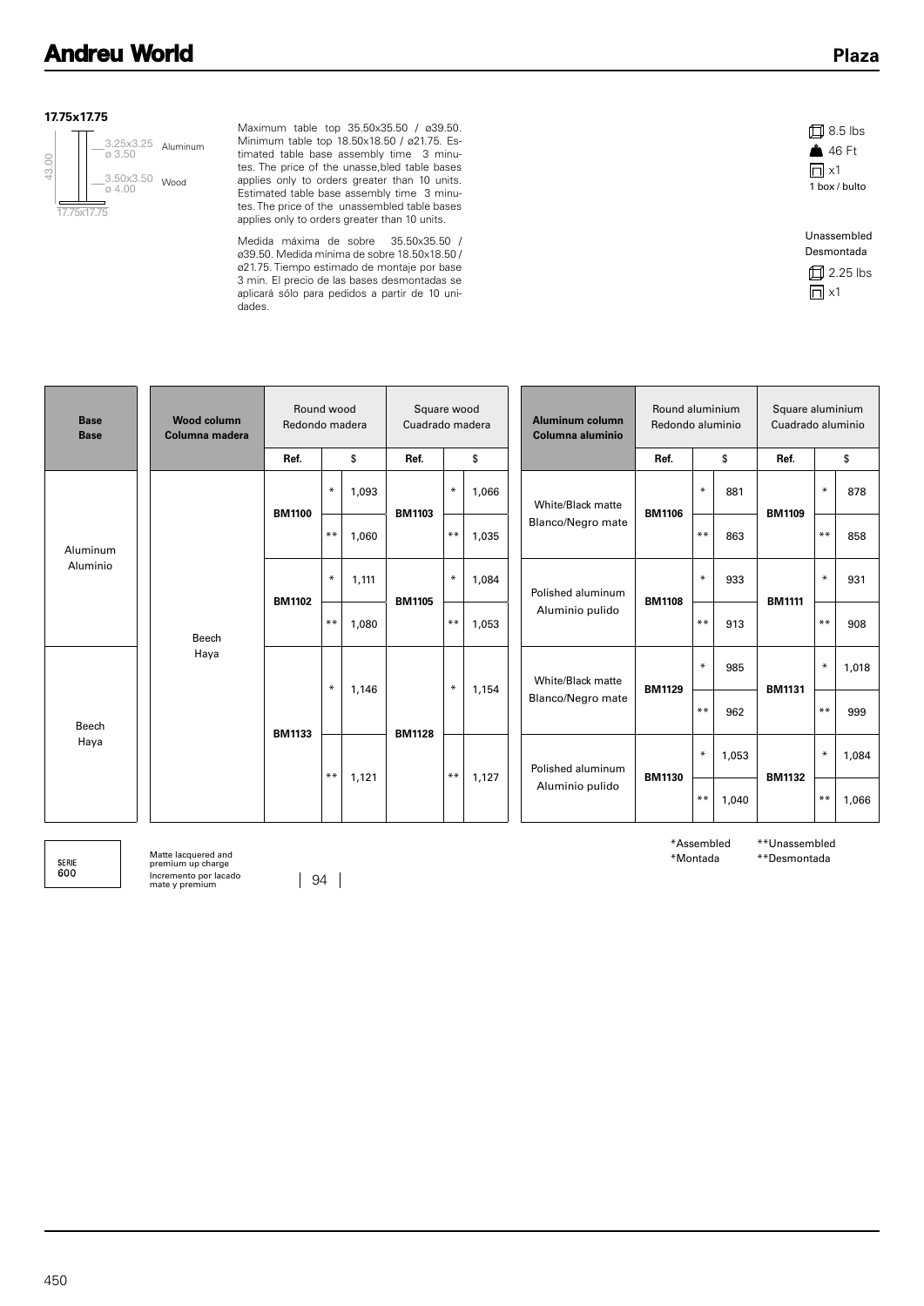#### **17.75x17.75**



Maximum table top 35.50x35.50 / ø39.50. Minimum table top 18.50x18.50 / ø21.75. Estimated table base assembly time 3 minutes. The price of the unasse,bled table bases applies only to orders greater than 10 units. Estimated table base assembly time 3 minutes. The price of the unassembled table bases applies only to orders greater than 10 units.

Medida máxima de sobre 35.50x35.50 / ø39.50. Medida mínima de sobre 18.50x18.50 / ø21.75. Tiempo estimado de montaje por base 3 min. El precio de las bases desmontadas se aplicará sólo para pedidos a partir de 10 unidades.





| <b>Base</b><br><b>Base</b> | <b>Wood column</b><br>Columna madera |               | Round wood<br>Redondo madera |       |               | Square wood<br>Cuadrado madera |       |  | Aluminum column<br>Columna aluminio | Round aluminium<br>Redondo aluminio |        |       | Square aluminium<br>Cuadrado aluminio |        |       |
|----------------------------|--------------------------------------|---------------|------------------------------|-------|---------------|--------------------------------|-------|--|-------------------------------------|-------------------------------------|--------|-------|---------------------------------------|--------|-------|
|                            |                                      | Ref.          |                              | \$    | Ref.          |                                | \$    |  |                                     | Ref.                                |        | \$    | Ref.                                  | \$     |       |
|                            | Aluminum<br>Aluminio<br>Beech        | <b>BM1100</b> | $\ast$                       | 1,093 | <b>BM1103</b> | $\ast$                         | 1,066 |  | White/Black matte                   | <b>BM1106</b>                       | $\ast$ | 881   | <b>BM1109</b>                         | $\ast$ | 878   |
|                            |                                      |               | $***$                        | 1,060 |               | $* *$                          | 1,035 |  | Blanco/Negro mate                   |                                     | $***$  | 863   |                                       | $***$  | 858   |
|                            |                                      | <b>BM1102</b> | $\ast$                       | 1,111 | <b>BM1105</b> | $\ast$                         | 1,084 |  | Polished aluminum<br><b>BM1108</b>  |                                     | $\ast$ | 933   | <b>BM1111</b>                         | $\ast$ | 931   |
|                            |                                      |               | $***$                        | 1,080 |               | $***$                          | 1,053 |  | Aluminio pulido                     |                                     | $***$  | 913   |                                       | $***$  | 908   |
| Beech<br>Haya              | Haya                                 |               | $\ast$                       | 1,146 | <b>BM1128</b> | $\ast$                         |       |  | White/Black matte                   | <b>BM1129</b>                       | $\ast$ | 985   | <b>BM1131</b>                         | $\ast$ | 1,018 |
|                            |                                      | <b>BM1133</b> |                              |       |               |                                | 1,154 |  | Blanco/Negro mate                   |                                     | $***$  | 962   |                                       | $***$  | 999   |
|                            |                                      |               | $***$                        | 1,121 |               | $***$                          | 1,127 |  | Polished aluminum                   | $\ast$                              |        | 1,053 | <b>BM1132</b>                         | $\ast$ | 1,084 |
|                            |                                      |               |                              |       |               |                                |       |  | Aluminio pulido                     | <b>BM1130</b>                       | $***$  | 1,040 |                                       | $**$   | 1,066 |

SERIE<br>600

Matte lacquered and premium up charge Incremento por lacado mate y premium 94

\*Assembled \*Montada

\*\*Unassembled \*\*Desmontada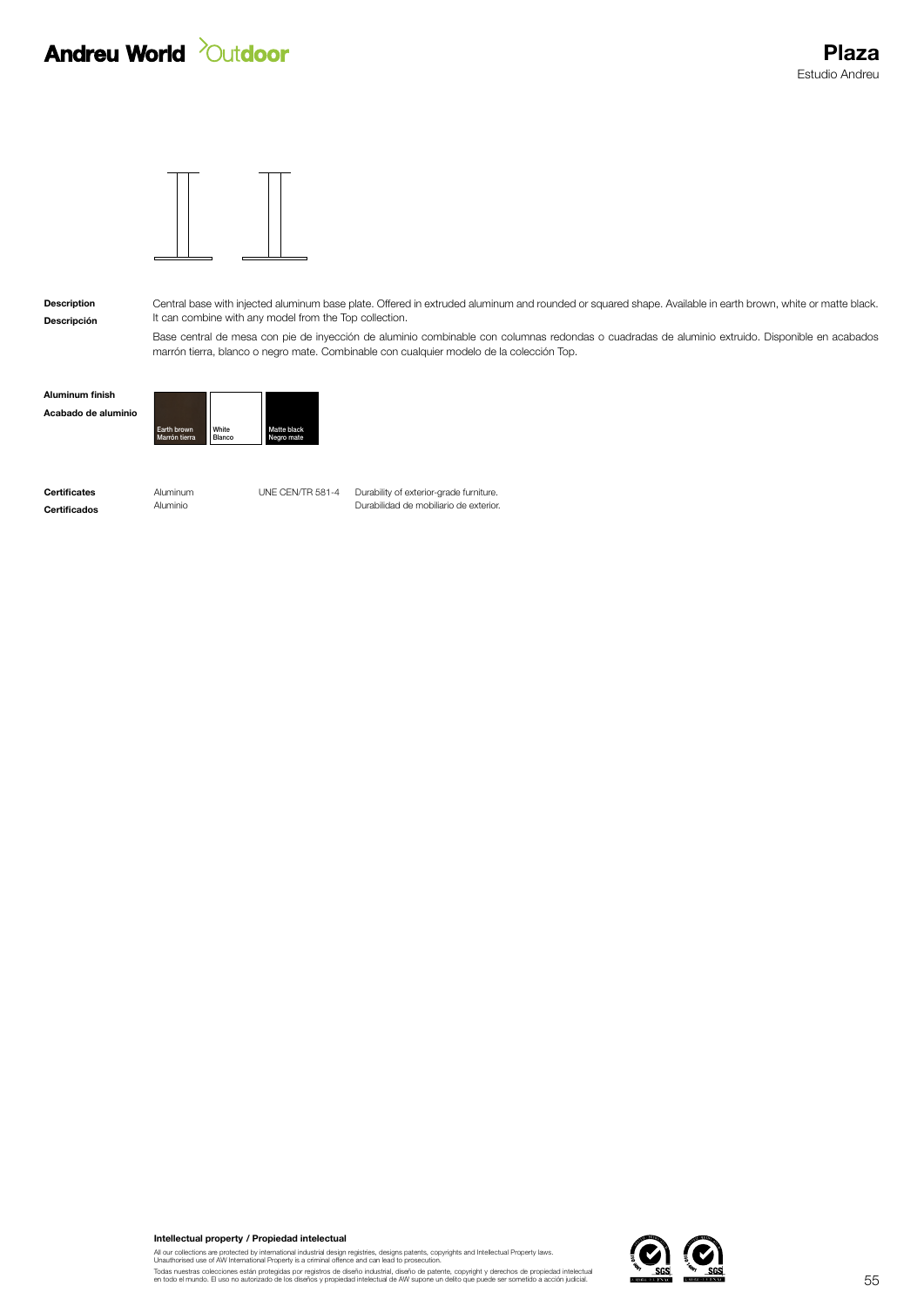## **Andreu World** *Qutdoor*



Descripción

Description Central base with injected aluminum base plate. Offered in extruded aluminum and rounded or squared shape. Available in earth brown, white or matte black. It can combine with any model from the Top collection.

> Base central de mesa con pie de inyección de aluminio combinable con columnas redondas o cuadradas de aluminio extruido. Disponible en acabados marrón tierra, blanco o negro mate. Combinable con cualquier modelo de la colección Top.

| Aluminum finish     |                              |                 |                           |
|---------------------|------------------------------|-----------------|---------------------------|
| Acabado de aluminio |                              |                 |                           |
|                     | Earth brown<br>Marrón tierra | White<br>Blanco | Matte black<br>Negro mate |

**Certificates Aluminum** UNE CEN/TR 581-4 Durability of exterior-grade furniture. **Certificados** Aluminio Aluminio **Aluminio Certificados Aluminio Aluminio Aluminio Aluminio Aluminio Aluminio Aluminio Aluminio Aluminio Aluminio Aluminio Aluminio Aluminio Aluminio Aluminio** 

Intellectual property / Propiedad intelectual

All our collections are protected by international industrial design registries, designs patents, copyrights and Intellectual Property laws.<br>Unauthorised use of AW International Property is a criminal offence and can lead

Todas nuestras colecciones están protegidas por registros de diseño industrial, diseño de patente, copyright y derechos de propiedad intelectual<br>en todo el mundo. El uso no autorizado de los diseños y propiedad intelectual

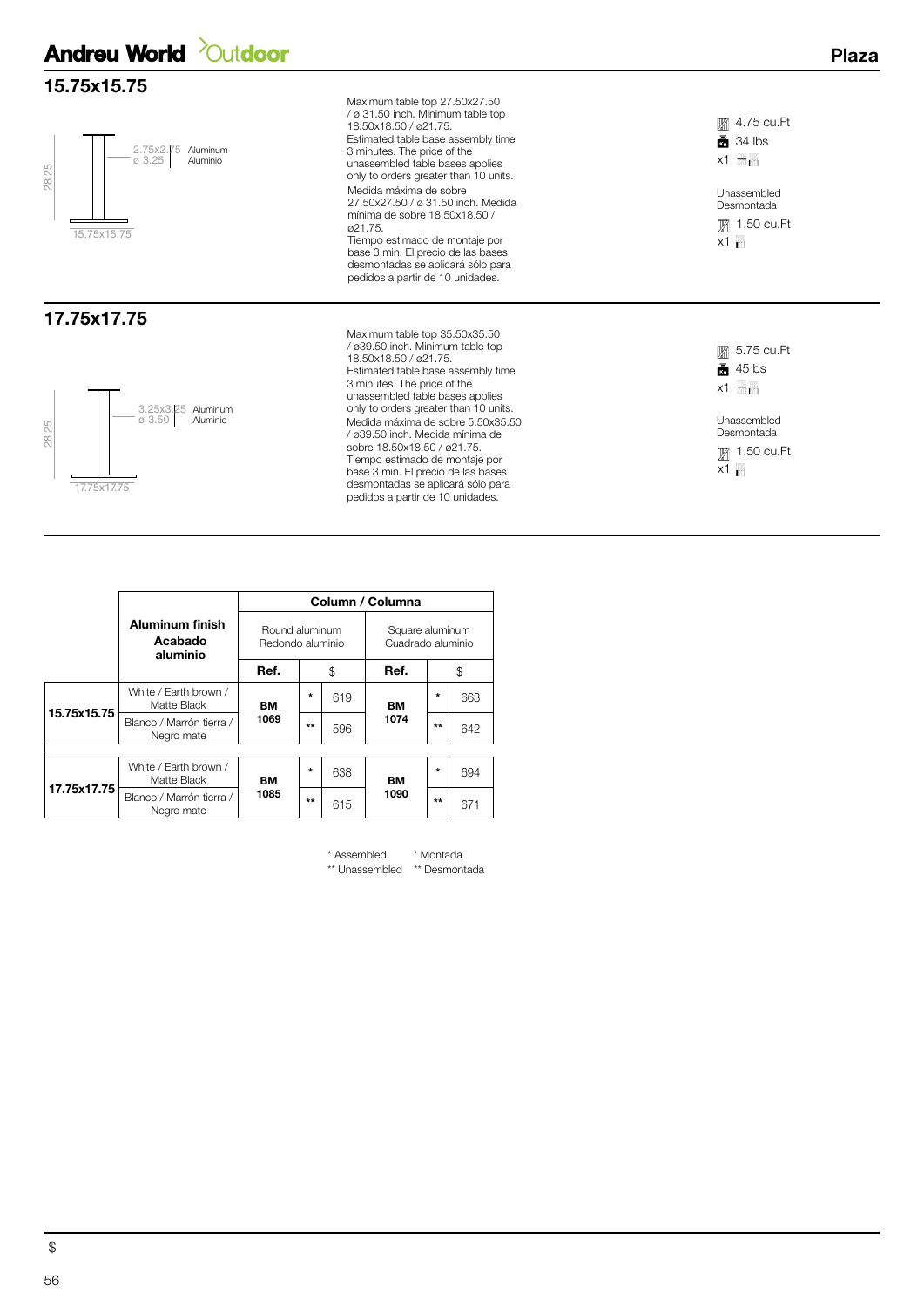### **Andreu World** *Outdoor*

#### 15.75x15.75



#### 17.75x17.75



Maximum table top 27.50x27.50 / ø 31.50 inch. Minimum table top 18.50x18.50 / ø21.75. Estimated table base assembly time 3 minutes. The price of the unassembled table bases applies only to orders greater than 10 units. Medida máxima de sobre 27.50x27.50 / ø 31.50 inch. Medida mínima de sobre 18.50x18.50 / ø21.75. Tiempo estimado de montaje por base 3 min. El precio de las bases desmontadas se aplicará sólo para

pedidos a partir de 10 unidades.

Maximum table top 35.50x35.50 / ø39.50 inch. Minimum table top 18.50x18.50 / ø21.75. Estimated table base assembly time 3 minutes. The price of the unassembled table bases applies only to orders greater than 10 units. Medida máxima de sobre 5.50x35.50 / ø39.50 inch. Medida mínima de sobre 18.50x18.50 / ø21.75. Tiempo estimado de montaje por base 3 min. El precio de las bases desmontadas se aplicará sólo para pedidos a partir de 10 unidades.

 $x1 \nightharpoonup_{11}$ **■ 4.75 cu.Ft**  $\frac{1}{34}$  34 lbs Unassembled

Plaza

 $x1_{11}$ **■ 1.50 cu.Ft** Desmontada

 $x1 = 1$ 5.75 cu.Ft  $\frac{1}{20}$  45 bs **■** 1.50 cu.Ft Desmontada Unassembled

 $x1_{11}$ 

|             |                                        | Column / Columna                   |         |     |                                      |         |     |  |  |  |  |  |
|-------------|----------------------------------------|------------------------------------|---------|-----|--------------------------------------|---------|-----|--|--|--|--|--|
|             | Aluminum finish<br>Acabado<br>aluminio | Round aluminum<br>Redondo aluminio |         |     | Square aluminum<br>Cuadrado aluminio |         |     |  |  |  |  |  |
|             |                                        | Ref.                               |         | \$  | Ref.                                 |         | \$  |  |  |  |  |  |
|             | White / Earth brown /<br>Matte Black   | BМ                                 | $\star$ | 619 | BМ                                   | $\star$ | 663 |  |  |  |  |  |
| 15.75x15.75 | Blanco / Marrón tierra /<br>Negro mate | 1069                               | $***$   | 596 | 1074                                 | $***$   | 642 |  |  |  |  |  |
|             |                                        |                                    |         |     |                                      |         |     |  |  |  |  |  |
| 17.75x17.75 | White / Earth brown /<br>Matte Black   | BМ                                 | $\star$ | 638 | BМ                                   | $\star$ | 694 |  |  |  |  |  |
|             | Blanco / Marrón tierra /<br>Negro mate | 1085                               | $***$   | 615 | 1090                                 | $***$   | 671 |  |  |  |  |  |

\*\* Desmontada \*\* Unassembled \* Montada \* Assembled